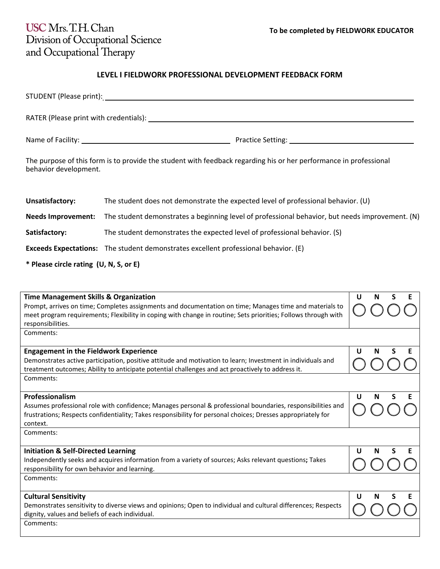**U N S E**

## USC Mrs. T.H. Chan Division of Occupational Science<br>and Occupational Therapy

## **LEVEL I FIELDWORK PROFESSIONAL DEVELOPMENT FEEDBACK FORM**

| behavior development.                                                                                                                                                                                                                                                                                   | The purpose of this form is to provide the student with feedback regarding his or her performance in professional |   |   |   |
|---------------------------------------------------------------------------------------------------------------------------------------------------------------------------------------------------------------------------------------------------------------------------------------------------------|-------------------------------------------------------------------------------------------------------------------|---|---|---|
| Unsatisfactory:                                                                                                                                                                                                                                                                                         | The student does not demonstrate the expected level of professional behavior. (U)                                 |   |   |   |
| <b>Needs Improvement:</b>                                                                                                                                                                                                                                                                               | The student demonstrates a beginning level of professional behavior, but needs improvement. (N)                   |   |   |   |
| Satisfactory:                                                                                                                                                                                                                                                                                           | The student demonstrates the expected level of professional behavior. (S)                                         |   |   |   |
|                                                                                                                                                                                                                                                                                                         | <b>Exceeds Expectations:</b> The student demonstrates excellent professional behavior. (E)                        |   |   |   |
| * Please circle rating (U, N, S, or E)                                                                                                                                                                                                                                                                  |                                                                                                                   |   |   |   |
| <b>Time Management Skills &amp; Organization</b><br>U<br>Prompt, arrives on time; Completes assignments and documentation on time; Manages time and materials to<br>meet program requirements; Flexibility in coping with change in routine; Sets priorities; Follows through with<br>responsibilities. |                                                                                                                   | N | S | E |
| Comments:                                                                                                                                                                                                                                                                                               |                                                                                                                   |   |   |   |
| <b>Engagement in the Fieldwork Experience</b><br>U<br>N<br>Demonstrates active participation, positive attitude and motivation to learn; Investment in individuals and<br>treatment outcomes; Ability to anticipate potential challenges and act proactively to address it.                             |                                                                                                                   |   |   |   |
| Comments:                                                                                                                                                                                                                                                                                               |                                                                                                                   |   |   |   |

| <b>Professionalism</b>                                                                                       |
|--------------------------------------------------------------------------------------------------------------|
| Assumes professional role with confidence; Manages personal & professional boundaries, responsibilities and  |
| frustrations; Respects confidentiality; Takes responsibility for personal choices; Dresses appropriately for |
| context.                                                                                                     |

Comments:

| <b>Initiation &amp; Self-Directed Learning</b>                                                         |  | $\mathsf{U}$ . | N S E |  |
|--------------------------------------------------------------------------------------------------------|--|----------------|-------|--|
| Independently seeks and acquires information from a variety of sources; Asks relevant questions; Takes |  | IOOOC          |       |  |
| responsibility for own behavior and learning.                                                          |  |                |       |  |
| Comments:                                                                                              |  |                |       |  |

| <b>Cultural Sensitivity</b>                                                                                              |  | U N S E |  |
|--------------------------------------------------------------------------------------------------------------------------|--|---------|--|
| Demonstrates sensitivity to diverse views and opinions; Open to individual and cultural differences; Respects $\bigcirc$ |  |         |  |
| dignity, values and beliefs of each individual.                                                                          |  |         |  |
| Comments:                                                                                                                |  |         |  |